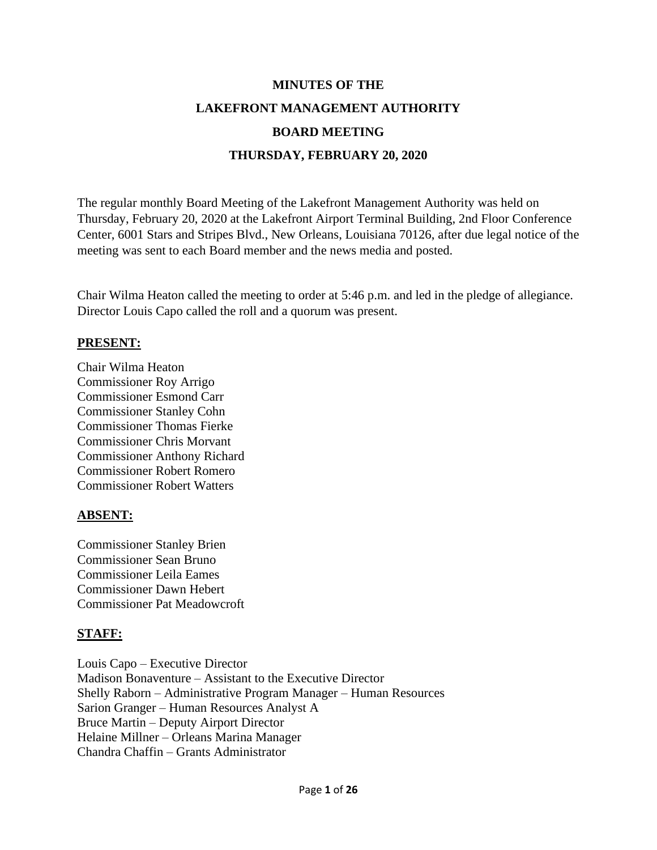# **MINUTES OF THE LAKEFRONT MANAGEMENT AUTHORITY BOARD MEETING THURSDAY, FEBRUARY 20, 2020**

The regular monthly Board Meeting of the Lakefront Management Authority was held on Thursday, February 20, 2020 at the Lakefront Airport Terminal Building, 2nd Floor Conference Center, 6001 Stars and Stripes Blvd., New Orleans, Louisiana 70126, after due legal notice of the meeting was sent to each Board member and the news media and posted.

Chair Wilma Heaton called the meeting to order at 5:46 p.m. and led in the pledge of allegiance. Director Louis Capo called the roll and a quorum was present.

### **PRESENT:**

Chair Wilma Heaton Commissioner Roy Arrigo Commissioner Esmond Carr Commissioner Stanley Cohn Commissioner Thomas Fierke Commissioner Chris Morvant Commissioner Anthony Richard Commissioner Robert Romero Commissioner Robert Watters

### **ABSENT:**

Commissioner Stanley Brien Commissioner Sean Bruno Commissioner Leila Eames Commissioner Dawn Hebert Commissioner Pat Meadowcroft

### **STAFF:**

Louis Capo – Executive Director Madison Bonaventure – Assistant to the Executive Director Shelly Raborn – Administrative Program Manager – Human Resources Sarion Granger – Human Resources Analyst A Bruce Martin – Deputy Airport Director Helaine Millner – Orleans Marina Manager Chandra Chaffin – Grants Administrator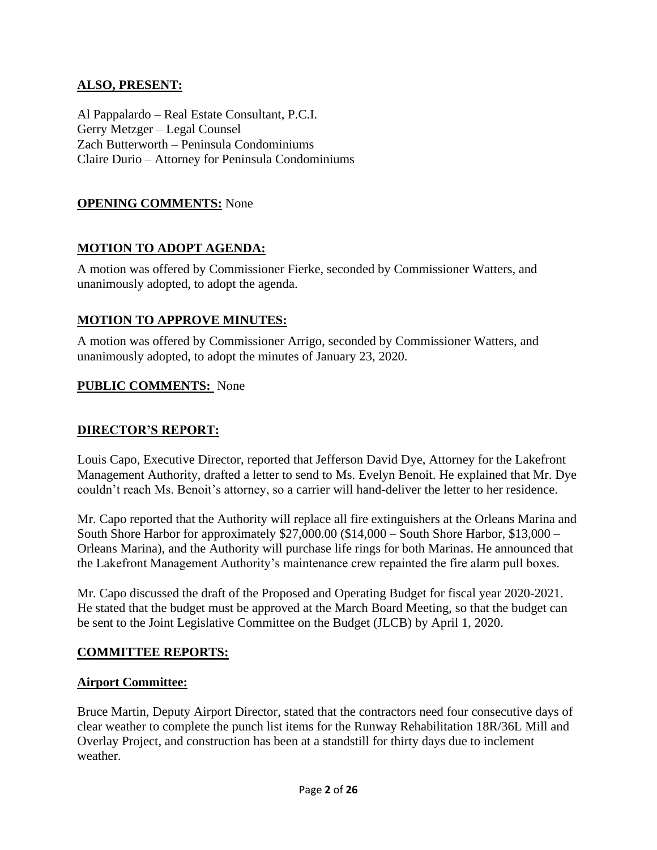### **ALSO, PRESENT:**

Al Pappalardo – Real Estate Consultant, P.C.I. Gerry Metzger – Legal Counsel Zach Butterworth – Peninsula Condominiums Claire Durio – Attorney for Peninsula Condominiums

### **OPENING COMMENTS:** None

### **MOTION TO ADOPT AGENDA:**

A motion was offered by Commissioner Fierke, seconded by Commissioner Watters, and unanimously adopted, to adopt the agenda.

### **MOTION TO APPROVE MINUTES:**

A motion was offered by Commissioner Arrigo, seconded by Commissioner Watters, and unanimously adopted, to adopt the minutes of January 23, 2020.

### **PUBLIC COMMENTS:** None

### **DIRECTOR'S REPORT:**

Louis Capo, Executive Director, reported that Jefferson David Dye, Attorney for the Lakefront Management Authority, drafted a letter to send to Ms. Evelyn Benoit. He explained that Mr. Dye couldn't reach Ms. Benoit's attorney, so a carrier will hand-deliver the letter to her residence.

Mr. Capo reported that the Authority will replace all fire extinguishers at the Orleans Marina and South Shore Harbor for approximately \$27,000.00 (\$14,000 – South Shore Harbor, \$13,000 – Orleans Marina), and the Authority will purchase life rings for both Marinas. He announced that the Lakefront Management Authority's maintenance crew repainted the fire alarm pull boxes.

Mr. Capo discussed the draft of the Proposed and Operating Budget for fiscal year 2020-2021. He stated that the budget must be approved at the March Board Meeting, so that the budget can be sent to the Joint Legislative Committee on the Budget (JLCB) by April 1, 2020.

### **COMMITTEE REPORTS:**

### **Airport Committee:**

Bruce Martin, Deputy Airport Director, stated that the contractors need four consecutive days of clear weather to complete the punch list items for the Runway Rehabilitation 18R/36L Mill and Overlay Project, and construction has been at a standstill for thirty days due to inclement weather.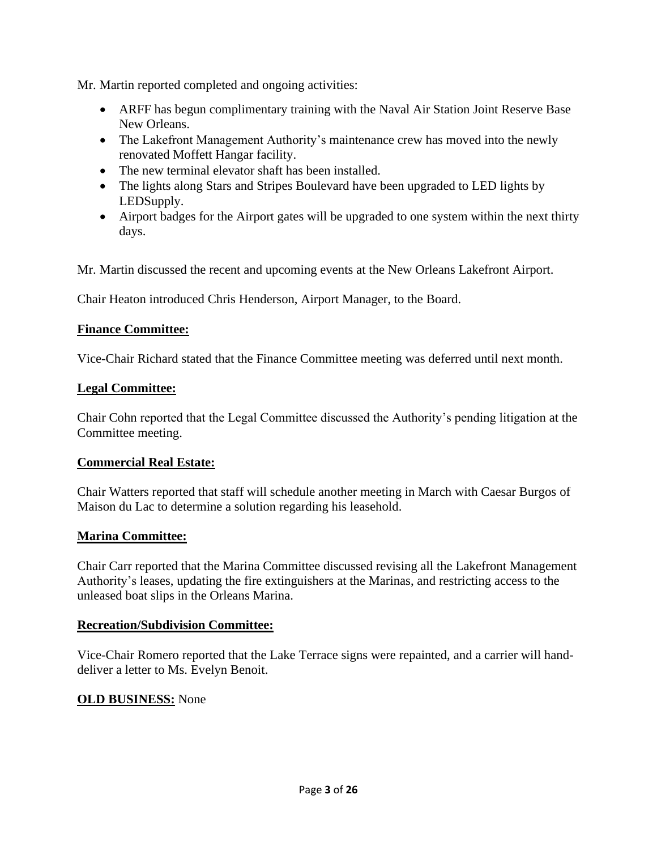Mr. Martin reported completed and ongoing activities:

- ARFF has begun complimentary training with the Naval Air Station Joint Reserve Base New Orleans.
- The Lakefront Management Authority's maintenance crew has moved into the newly renovated Moffett Hangar facility.
- The new terminal elevator shaft has been installed.
- The lights along Stars and Stripes Boulevard have been upgraded to LED lights by LEDSupply.
- Airport badges for the Airport gates will be upgraded to one system within the next thirty days.

Mr. Martin discussed the recent and upcoming events at the New Orleans Lakefront Airport.

Chair Heaton introduced Chris Henderson, Airport Manager, to the Board.

### **Finance Committee:**

Vice-Chair Richard stated that the Finance Committee meeting was deferred until next month.

### **Legal Committee:**

Chair Cohn reported that the Legal Committee discussed the Authority's pending litigation at the Committee meeting.

### **Commercial Real Estate:**

Chair Watters reported that staff will schedule another meeting in March with Caesar Burgos of Maison du Lac to determine a solution regarding his leasehold.

### **Marina Committee:**

Chair Carr reported that the Marina Committee discussed revising all the Lakefront Management Authority's leases, updating the fire extinguishers at the Marinas, and restricting access to the unleased boat slips in the Orleans Marina.

### **Recreation/Subdivision Committee:**

Vice-Chair Romero reported that the Lake Terrace signs were repainted, and a carrier will handdeliver a letter to Ms. Evelyn Benoit.

### **OLD BUSINESS:** None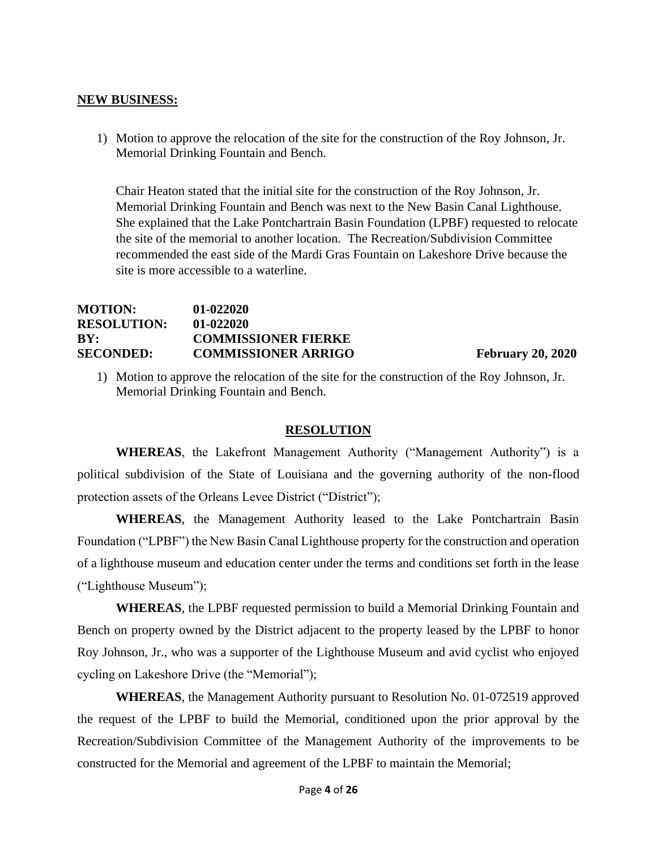#### **NEW BUSINESS:**

1) Motion to approve the relocation of the site for the construction of the Roy Johnson, Jr. Memorial Drinking Fountain and Bench.

Chair Heaton stated that the initial site for the construction of the Roy Johnson, Jr. Memorial Drinking Fountain and Bench was next to the New Basin Canal Lighthouse. She explained that the Lake Pontchartrain Basin Foundation (LPBF) requested to relocate the site of the memorial to another location. The Recreation/Subdivision Committee recommended the east side of the Mardi Gras Fountain on Lakeshore Drive because the site is more accessible to a waterline.

### **MOTION: 01-022020 RESOLUTION: 01-022020 BY: COMMISSIONER FIERKE SECONDED: COMMISSIONER ARRIGO February 20, 2020**

1) Motion to approve the relocation of the site for the construction of the Roy Johnson, Jr. Memorial Drinking Fountain and Bench.

#### **RESOLUTION**

**WHEREAS**, the Lakefront Management Authority ("Management Authority") is a political subdivision of the State of Louisiana and the governing authority of the non-flood protection assets of the Orleans Levee District ("District");

**WHEREAS**, the Management Authority leased to the Lake Pontchartrain Basin Foundation ("LPBF") the New Basin Canal Lighthouse property for the construction and operation of a lighthouse museum and education center under the terms and conditions set forth in the lease ("Lighthouse Museum");

**WHEREAS**, the LPBF requested permission to build a Memorial Drinking Fountain and Bench on property owned by the District adjacent to the property leased by the LPBF to honor Roy Johnson, Jr., who was a supporter of the Lighthouse Museum and avid cyclist who enjoyed cycling on Lakeshore Drive (the "Memorial");

**WHEREAS**, the Management Authority pursuant to Resolution No. 01-072519 approved the request of the LPBF to build the Memorial, conditioned upon the prior approval by the Recreation/Subdivision Committee of the Management Authority of the improvements to be constructed for the Memorial and agreement of the LPBF to maintain the Memorial;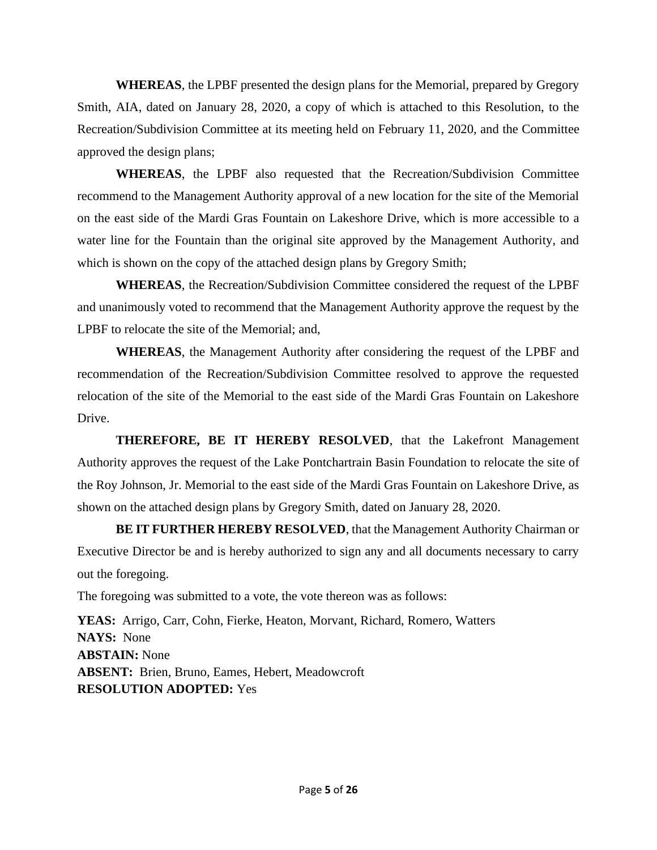**WHEREAS**, the LPBF presented the design plans for the Memorial, prepared by Gregory Smith, AIA, dated on January 28, 2020, a copy of which is attached to this Resolution, to the Recreation/Subdivision Committee at its meeting held on February 11, 2020, and the Committee approved the design plans;

**WHEREAS**, the LPBF also requested that the Recreation/Subdivision Committee recommend to the Management Authority approval of a new location for the site of the Memorial on the east side of the Mardi Gras Fountain on Lakeshore Drive, which is more accessible to a water line for the Fountain than the original site approved by the Management Authority, and which is shown on the copy of the attached design plans by Gregory Smith;

**WHEREAS**, the Recreation/Subdivision Committee considered the request of the LPBF and unanimously voted to recommend that the Management Authority approve the request by the LPBF to relocate the site of the Memorial; and,

**WHEREAS**, the Management Authority after considering the request of the LPBF and recommendation of the Recreation/Subdivision Committee resolved to approve the requested relocation of the site of the Memorial to the east side of the Mardi Gras Fountain on Lakeshore Drive.

**THEREFORE, BE IT HEREBY RESOLVED**, that the Lakefront Management Authority approves the request of the Lake Pontchartrain Basin Foundation to relocate the site of the Roy Johnson, Jr. Memorial to the east side of the Mardi Gras Fountain on Lakeshore Drive, as shown on the attached design plans by Gregory Smith, dated on January 28, 2020.

**BE IT FURTHER HEREBY RESOLVED**, that the Management Authority Chairman or Executive Director be and is hereby authorized to sign any and all documents necessary to carry out the foregoing.

The foregoing was submitted to a vote, the vote thereon was as follows:

**YEAS:** Arrigo, Carr, Cohn, Fierke, Heaton, Morvant, Richard, Romero, Watters **NAYS:** None **ABSTAIN:** None **ABSENT:** Brien, Bruno, Eames, Hebert, Meadowcroft **RESOLUTION ADOPTED:** Yes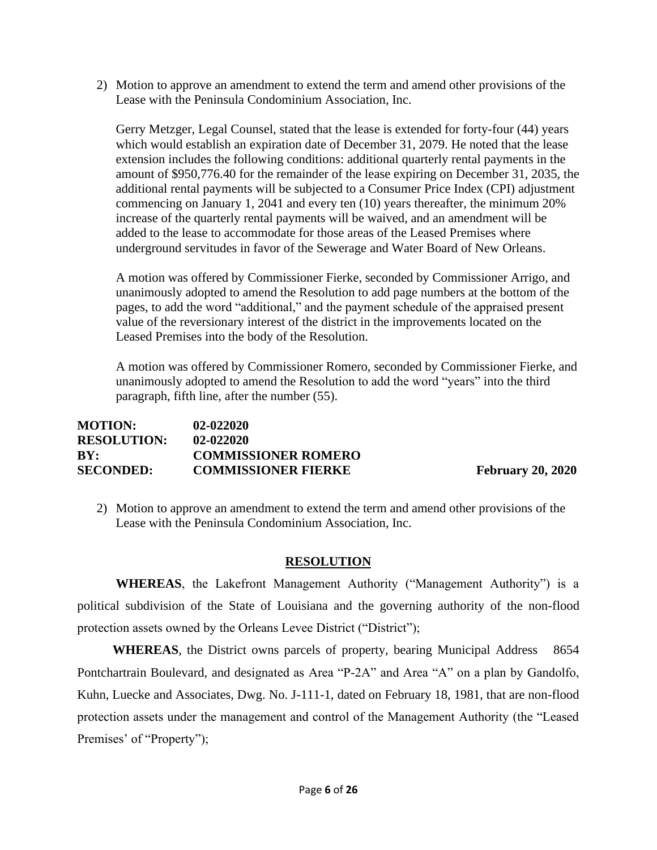2) Motion to approve an amendment to extend the term and amend other provisions of the Lease with the Peninsula Condominium Association, Inc.

Gerry Metzger, Legal Counsel, stated that the lease is extended for forty-four (44) years which would establish an expiration date of December 31, 2079. He noted that the lease extension includes the following conditions: additional quarterly rental payments in the amount of \$950,776.40 for the remainder of the lease expiring on December 31, 2035, the additional rental payments will be subjected to a Consumer Price Index (CPI) adjustment commencing on January 1, 2041 and every ten (10) years thereafter, the minimum 20% increase of the quarterly rental payments will be waived, and an amendment will be added to the lease to accommodate for those areas of the Leased Premises where underground servitudes in favor of the Sewerage and Water Board of New Orleans.

A motion was offered by Commissioner Fierke, seconded by Commissioner Arrigo, and unanimously adopted to amend the Resolution to add page numbers at the bottom of the pages, to add the word "additional," and the payment schedule of the appraised present value of the reversionary interest of the district in the improvements located on the Leased Premises into the body of the Resolution.

A motion was offered by Commissioner Romero, seconded by Commissioner Fierke, and unanimously adopted to amend the Resolution to add the word "years" into the third paragraph, fifth line, after the number (55).

| <b>MOTION:</b>     | $02 - 022020$              |
|--------------------|----------------------------|
| <b>RESOLUTION:</b> | $02 - 022020$              |
| BY:                | <b>COMMISSIONER ROMERO</b> |
| <b>SECONDED:</b>   | <b>COMMISSIONER FIERKE</b> |

**February 20, 2020** 

2) Motion to approve an amendment to extend the term and amend other provisions of the Lease with the Peninsula Condominium Association, Inc.

### **RESOLUTION**

**WHEREAS**, the Lakefront Management Authority ("Management Authority") is a political subdivision of the State of Louisiana and the governing authority of the non-flood protection assets owned by the Orleans Levee District ("District");

 **WHEREAS**, the District owns parcels of property, bearing Municipal Address 8654 Pontchartrain Boulevard, and designated as Area "P-2A" and Area "A" on a plan by Gandolfo, Kuhn, Luecke and Associates, Dwg. No. J-111-1, dated on February 18, 1981, that are non-flood protection assets under the management and control of the Management Authority (the "Leased Premises' of "Property");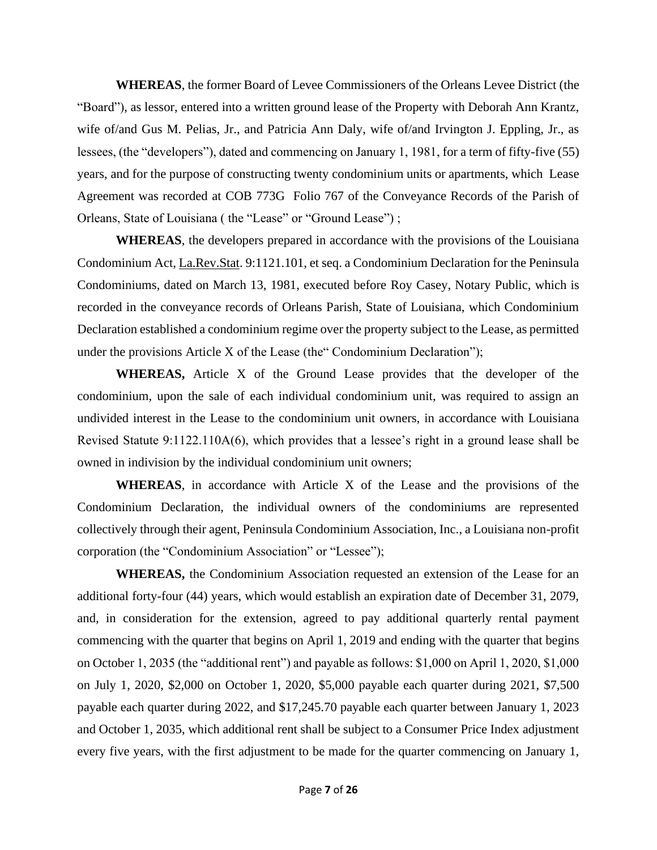**WHEREAS**, the former Board of Levee Commissioners of the Orleans Levee District (the "Board"), as lessor, entered into a written ground lease of the Property with Deborah Ann Krantz, wife of/and Gus M. Pelias, Jr., and Patricia Ann Daly, wife of/and Irvington J. Eppling, Jr., as lessees, (the "developers"), dated and commencing on January 1, 1981, for a term of fifty-five (55) years, and for the purpose of constructing twenty condominium units or apartments, which Lease Agreement was recorded at COB 773G Folio 767 of the Conveyance Records of the Parish of Orleans, State of Louisiana ( the "Lease" or "Ground Lease") ;

**WHEREAS**, the developers prepared in accordance with the provisions of the Louisiana Condominium Act, La.Rev.Stat. 9:1121.101, et seq. a Condominium Declaration for the Peninsula Condominiums, dated on March 13, 1981, executed before Roy Casey, Notary Public, which is recorded in the conveyance records of Orleans Parish, State of Louisiana, which Condominium Declaration established a condominium regime over the property subject to the Lease, as permitted under the provisions Article X of the Lease (the" Condominium Declaration");

**WHEREAS,** Article X of the Ground Lease provides that the developer of the condominium, upon the sale of each individual condominium unit, was required to assign an undivided interest in the Lease to the condominium unit owners, in accordance with Louisiana Revised Statute 9:1122.110A(6), which provides that a lessee's right in a ground lease shall be owned in indivision by the individual condominium unit owners;

**WHEREAS**, in accordance with Article X of the Lease and the provisions of the Condominium Declaration, the individual owners of the condominiums are represented collectively through their agent, Peninsula Condominium Association, Inc., a Louisiana non-profit corporation (the "Condominium Association" or "Lessee");

**WHEREAS,** the Condominium Association requested an extension of the Lease for an additional forty-four (44) years, which would establish an expiration date of December 31, 2079, and, in consideration for the extension, agreed to pay additional quarterly rental payment commencing with the quarter that begins on April 1, 2019 and ending with the quarter that begins on October 1, 2035 (the "additional rent") and payable as follows: \$1,000 on April 1, 2020, \$1,000 on July 1, 2020, \$2,000 on October 1, 2020, \$5,000 payable each quarter during 2021, \$7,500 payable each quarter during 2022, and \$17,245.70 payable each quarter between January 1, 2023 and October 1, 2035, which additional rent shall be subject to a Consumer Price Index adjustment every five years, with the first adjustment to be made for the quarter commencing on January 1,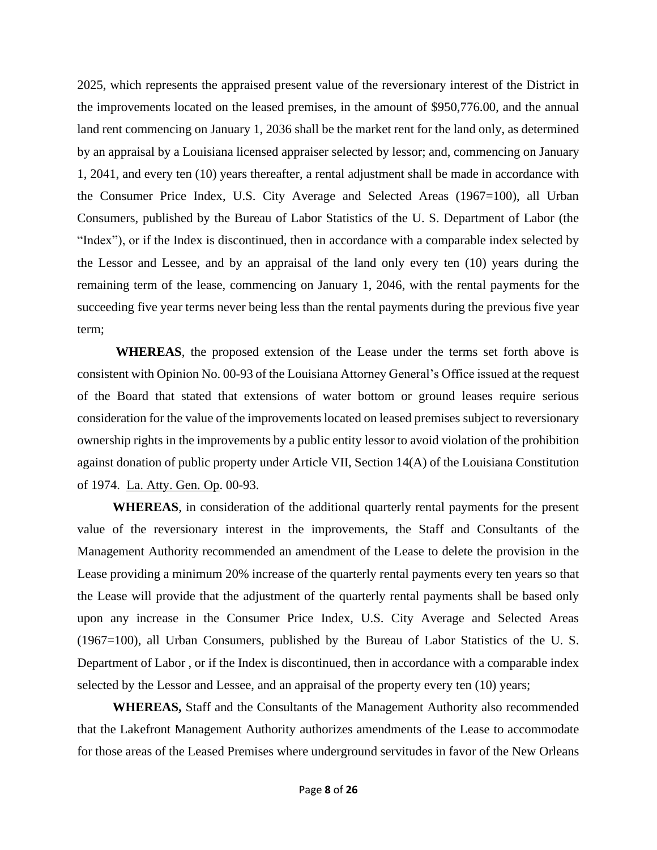2025, which represents the appraised present value of the reversionary interest of the District in the improvements located on the leased premises, in the amount of \$950,776.00, and the annual land rent commencing on January 1, 2036 shall be the market rent for the land only, as determined by an appraisal by a Louisiana licensed appraiser selected by lessor; and, commencing on January 1, 2041, and every ten (10) years thereafter, a rental adjustment shall be made in accordance with the Consumer Price Index, U.S. City Average and Selected Areas (1967=100), all Urban Consumers, published by the Bureau of Labor Statistics of the U. S. Department of Labor (the "Index"), or if the Index is discontinued, then in accordance with a comparable index selected by the Lessor and Lessee, and by an appraisal of the land only every ten (10) years during the remaining term of the lease, commencing on January 1, 2046, with the rental payments for the succeeding five year terms never being less than the rental payments during the previous five year term;

**WHEREAS**, the proposed extension of the Lease under the terms set forth above is consistent with Opinion No. 00-93 of the Louisiana Attorney General's Office issued at the request of the Board that stated that extensions of water bottom or ground leases require serious consideration for the value of the improvements located on leased premises subject to reversionary ownership rights in the improvements by a public entity lessor to avoid violation of the prohibition against donation of public property under Article VII, Section 14(A) of the Louisiana Constitution of 1974. La. Atty. Gen. Op. 00-93.

 **WHEREAS**, in consideration of the additional quarterly rental payments for the present value of the reversionary interest in the improvements, the Staff and Consultants of the Management Authority recommended an amendment of the Lease to delete the provision in the Lease providing a minimum 20% increase of the quarterly rental payments every ten years so that the Lease will provide that the adjustment of the quarterly rental payments shall be based only upon any increase in the Consumer Price Index, U.S. City Average and Selected Areas (1967=100), all Urban Consumers, published by the Bureau of Labor Statistics of the U. S. Department of Labor , or if the Index is discontinued, then in accordance with a comparable index selected by the Lessor and Lessee, and an appraisal of the property every ten (10) years;

 **WHEREAS,** Staff and the Consultants of the Management Authority also recommended that the Lakefront Management Authority authorizes amendments of the Lease to accommodate for those areas of the Leased Premises where underground servitudes in favor of the New Orleans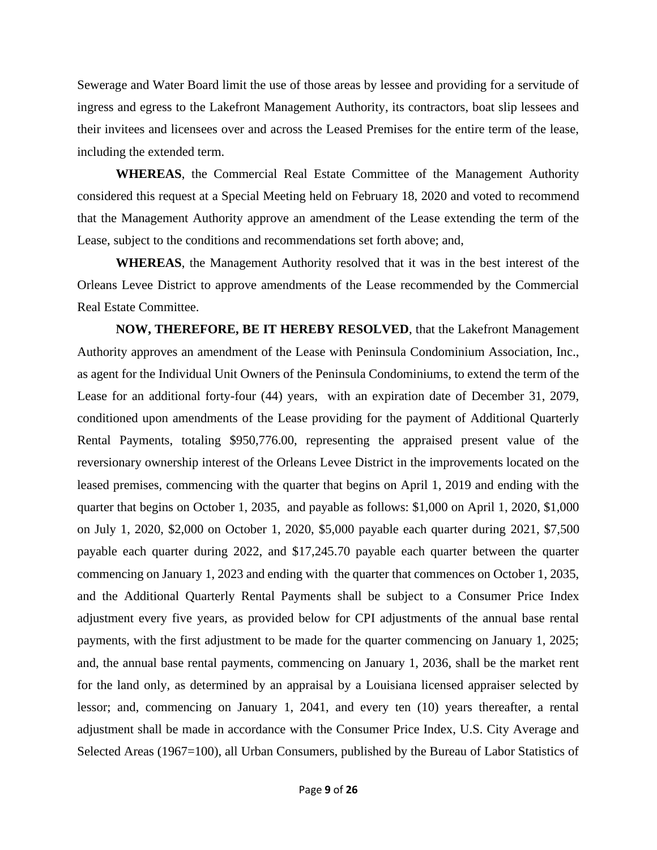Sewerage and Water Board limit the use of those areas by lessee and providing for a servitude of ingress and egress to the Lakefront Management Authority, its contractors, boat slip lessees and their invitees and licensees over and across the Leased Premises for the entire term of the lease, including the extended term.

**WHEREAS**, the Commercial Real Estate Committee of the Management Authority considered this request at a Special Meeting held on February 18, 2020 and voted to recommend that the Management Authority approve an amendment of the Lease extending the term of the Lease, subject to the conditions and recommendations set forth above; and,

**WHEREAS**, the Management Authority resolved that it was in the best interest of the Orleans Levee District to approve amendments of the Lease recommended by the Commercial Real Estate Committee.

**NOW, THEREFORE, BE IT HEREBY RESOLVED**, that the Lakefront Management Authority approves an amendment of the Lease with Peninsula Condominium Association, Inc., as agent for the Individual Unit Owners of the Peninsula Condominiums, to extend the term of the Lease for an additional forty-four (44) years, with an expiration date of December 31, 2079, conditioned upon amendments of the Lease providing for the payment of Additional Quarterly Rental Payments, totaling \$950,776.00, representing the appraised present value of the reversionary ownership interest of the Orleans Levee District in the improvements located on the leased premises, commencing with the quarter that begins on April 1, 2019 and ending with the quarter that begins on October 1, 2035, and payable as follows: \$1,000 on April 1, 2020, \$1,000 on July 1, 2020, \$2,000 on October 1, 2020, \$5,000 payable each quarter during 2021, \$7,500 payable each quarter during 2022, and \$17,245.70 payable each quarter between the quarter commencing on January 1, 2023 and ending with the quarter that commences on October 1, 2035, and the Additional Quarterly Rental Payments shall be subject to a Consumer Price Index adjustment every five years, as provided below for CPI adjustments of the annual base rental payments, with the first adjustment to be made for the quarter commencing on January 1, 2025; and, the annual base rental payments, commencing on January 1, 2036, shall be the market rent for the land only, as determined by an appraisal by a Louisiana licensed appraiser selected by lessor; and, commencing on January 1, 2041, and every ten (10) years thereafter, a rental adjustment shall be made in accordance with the Consumer Price Index, U.S. City Average and Selected Areas (1967=100), all Urban Consumers, published by the Bureau of Labor Statistics of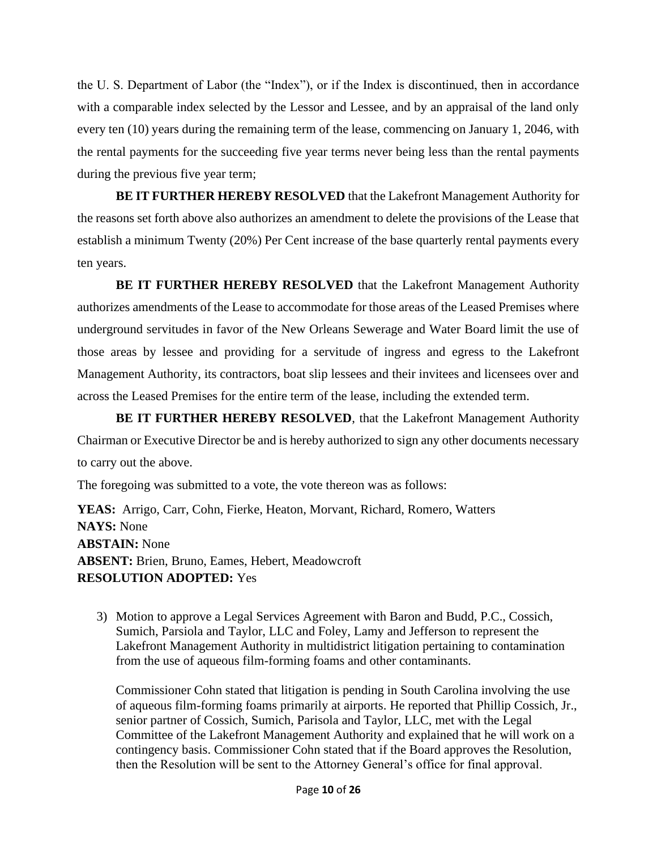the U. S. Department of Labor (the "Index"), or if the Index is discontinued, then in accordance with a comparable index selected by the Lessor and Lessee, and by an appraisal of the land only every ten (10) years during the remaining term of the lease, commencing on January 1, 2046, with the rental payments for the succeeding five year terms never being less than the rental payments during the previous five year term;

**BE IT FURTHER HEREBY RESOLVED** that the Lakefront Management Authority for the reasons set forth above also authorizes an amendment to delete the provisions of the Lease that establish a minimum Twenty (20%) Per Cent increase of the base quarterly rental payments every ten years.

**BE IT FURTHER HEREBY RESOLVED** that the Lakefront Management Authority authorizes amendments of the Lease to accommodate for those areas of the Leased Premises where underground servitudes in favor of the New Orleans Sewerage and Water Board limit the use of those areas by lessee and providing for a servitude of ingress and egress to the Lakefront Management Authority, its contractors, boat slip lessees and their invitees and licensees over and across the Leased Premises for the entire term of the lease, including the extended term.

**BE IT FURTHER HEREBY RESOLVED**, that the Lakefront Management Authority Chairman or Executive Director be and is hereby authorized to sign any other documents necessary to carry out the above.

The foregoing was submitted to a vote, the vote thereon was as follows:

**YEAS:** Arrigo, Carr, Cohn, Fierke, Heaton, Morvant, Richard, Romero, Watters **NAYS:** None **ABSTAIN:** None **ABSENT:** Brien, Bruno, Eames, Hebert, Meadowcroft **RESOLUTION ADOPTED:** Yes

3) Motion to approve a Legal Services Agreement with Baron and Budd, P.C., Cossich, Sumich, Parsiola and Taylor, LLC and Foley, Lamy and Jefferson to represent the Lakefront Management Authority in multidistrict litigation pertaining to contamination from the use of aqueous film-forming foams and other contaminants.

Commissioner Cohn stated that litigation is pending in South Carolina involving the use of aqueous film-forming foams primarily at airports. He reported that Phillip Cossich, Jr., senior partner of Cossich, Sumich, Parisola and Taylor, LLC, met with the Legal Committee of the Lakefront Management Authority and explained that he will work on a contingency basis. Commissioner Cohn stated that if the Board approves the Resolution, then the Resolution will be sent to the Attorney General's office for final approval.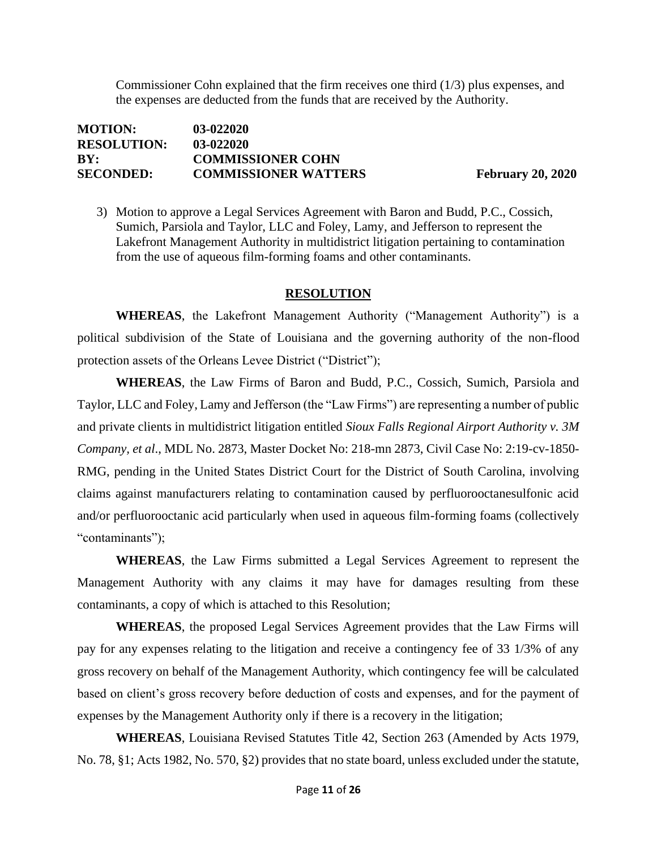Commissioner Cohn explained that the firm receives one third (1/3) plus expenses, and the expenses are deducted from the funds that are received by the Authority.

| <b>MOTION:</b>     | 03-022020                   |
|--------------------|-----------------------------|
| <b>RESOLUTION:</b> | 03-022020                   |
| BY:                | <b>COMMISSIONER COHN</b>    |
| <b>SECONDED:</b>   | <b>COMMISSIONER WATTERS</b> |

**February 20, 2020** 

3) Motion to approve a Legal Services Agreement with Baron and Budd, P.C., Cossich, Sumich, Parsiola and Taylor, LLC and Foley, Lamy, and Jefferson to represent the Lakefront Management Authority in multidistrict litigation pertaining to contamination from the use of aqueous film-forming foams and other contaminants.

#### **RESOLUTION**

**WHEREAS**, the Lakefront Management Authority ("Management Authority") is a political subdivision of the State of Louisiana and the governing authority of the non-flood protection assets of the Orleans Levee District ("District");

**WHEREAS**, the Law Firms of Baron and Budd, P.C., Cossich, Sumich, Parsiola and Taylor, LLC and Foley, Lamy and Jefferson (the "Law Firms") are representing a number of public and private clients in multidistrict litigation entitled *Sioux Falls Regional Airport Authority v. 3M Company, et al*., MDL No. 2873, Master Docket No: 218-mn 2873, Civil Case No: 2:19-cv-1850- RMG, pending in the United States District Court for the District of South Carolina, involving claims against manufacturers relating to contamination caused by perfluorooctanesulfonic acid and/or perfluorooctanic acid particularly when used in aqueous film-forming foams (collectively "contaminants");

**WHEREAS**, the Law Firms submitted a Legal Services Agreement to represent the Management Authority with any claims it may have for damages resulting from these contaminants, a copy of which is attached to this Resolution;

**WHEREAS**, the proposed Legal Services Agreement provides that the Law Firms will pay for any expenses relating to the litigation and receive a contingency fee of 33 1/3% of any gross recovery on behalf of the Management Authority, which contingency fee will be calculated based on client's gross recovery before deduction of costs and expenses, and for the payment of expenses by the Management Authority only if there is a recovery in the litigation;

**WHEREAS**, Louisiana Revised Statutes Title 42, Section 263 (Amended by Acts 1979, No. 78, §1; Acts 1982, No. 570, §2) provides that no state board, unless excluded under the statute,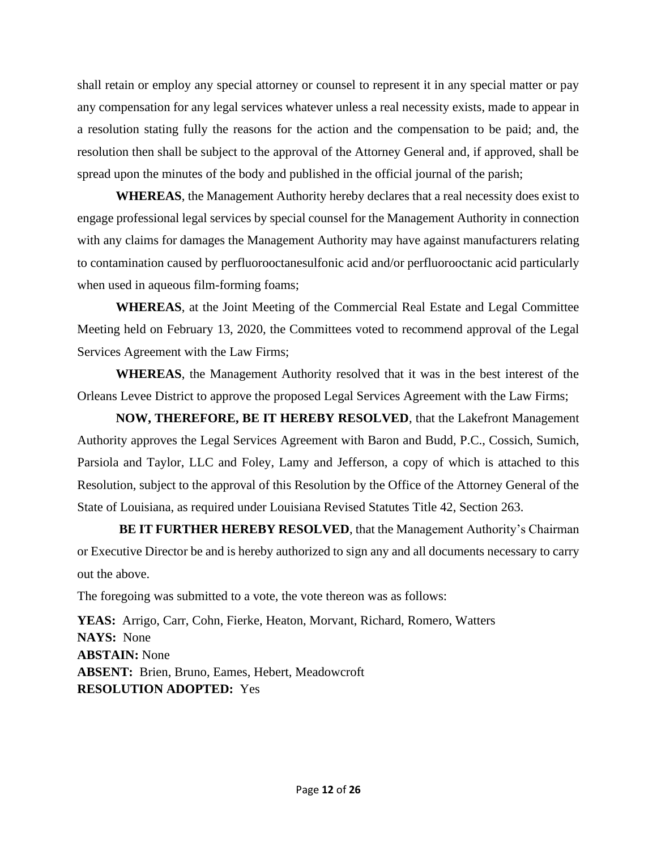shall retain or employ any special attorney or counsel to represent it in any special matter or pay any compensation for any legal services whatever unless a real necessity exists, made to appear in a resolution stating fully the reasons for the action and the compensation to be paid; and, the resolution then shall be subject to the approval of the Attorney General and, if approved, shall be spread upon the minutes of the body and published in the official journal of the parish;

**WHEREAS**, the Management Authority hereby declares that a real necessity does exist to engage professional legal services by special counsel for the Management Authority in connection with any claims for damages the Management Authority may have against manufacturers relating to contamination caused by perfluorooctanesulfonic acid and/or perfluorooctanic acid particularly when used in aqueous film-forming foams;

**WHEREAS**, at the Joint Meeting of the Commercial Real Estate and Legal Committee Meeting held on February 13, 2020, the Committees voted to recommend approval of the Legal Services Agreement with the Law Firms;

**WHEREAS**, the Management Authority resolved that it was in the best interest of the Orleans Levee District to approve the proposed Legal Services Agreement with the Law Firms;

**NOW, THEREFORE, BE IT HEREBY RESOLVED**, that the Lakefront Management Authority approves the Legal Services Agreement with Baron and Budd, P.C., Cossich, Sumich, Parsiola and Taylor, LLC and Foley, Lamy and Jefferson, a copy of which is attached to this Resolution, subject to the approval of this Resolution by the Office of the Attorney General of the State of Louisiana, as required under Louisiana Revised Statutes Title 42, Section 263.

**BE IT FURTHER HEREBY RESOLVED**, that the Management Authority's Chairman or Executive Director be and is hereby authorized to sign any and all documents necessary to carry out the above.

The foregoing was submitted to a vote, the vote thereon was as follows:

**YEAS:** Arrigo, Carr, Cohn, Fierke, Heaton, Morvant, Richard, Romero, Watters **NAYS:** None **ABSTAIN:** None **ABSENT:** Brien, Bruno, Eames, Hebert, Meadowcroft **RESOLUTION ADOPTED:** Yes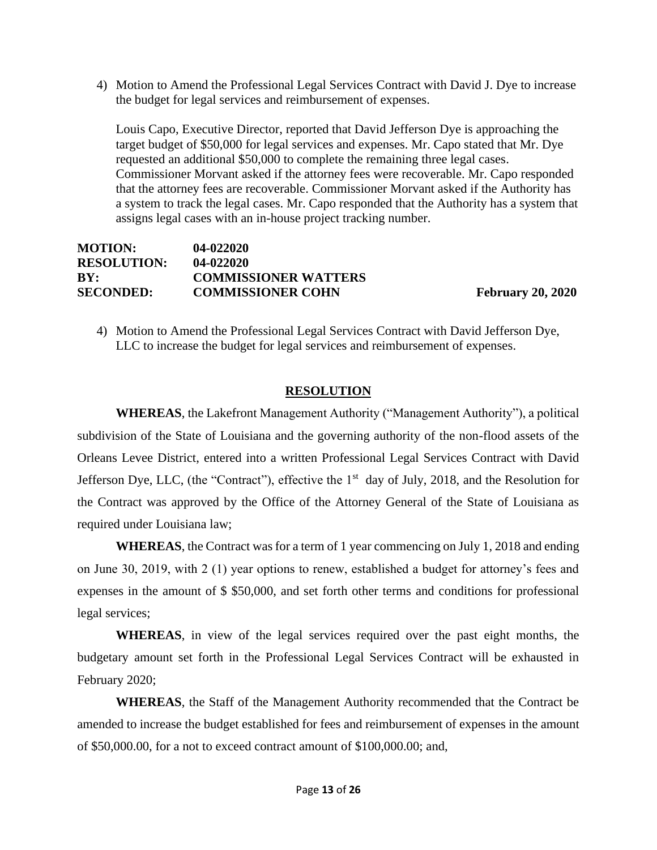4) Motion to Amend the Professional Legal Services Contract with David J. Dye to increase the budget for legal services and reimbursement of expenses.

Louis Capo, Executive Director, reported that David Jefferson Dye is approaching the target budget of \$50,000 for legal services and expenses. Mr. Capo stated that Mr. Dye requested an additional \$50,000 to complete the remaining three legal cases. Commissioner Morvant asked if the attorney fees were recoverable. Mr. Capo responded that the attorney fees are recoverable. Commissioner Morvant asked if the Authority has a system to track the legal cases. Mr. Capo responded that the Authority has a system that assigns legal cases with an in-house project tracking number.

| $04 - 022020$               |
|-----------------------------|
| $04 - 022020$               |
| <b>COMMISSIONER WATTERS</b> |
| <b>COMMISSIONER COHN</b>    |
|                             |

**February 20, 2020** 

4) Motion to Amend the Professional Legal Services Contract with David Jefferson Dye, LLC to increase the budget for legal services and reimbursement of expenses.

### **RESOLUTION**

**WHEREAS**, the Lakefront Management Authority ("Management Authority"), a political subdivision of the State of Louisiana and the governing authority of the non-flood assets of the Orleans Levee District, entered into a written Professional Legal Services Contract with David Jefferson Dye, LLC, (the "Contract"), effective the 1<sup>st</sup> day of July, 2018, and the Resolution for the Contract was approved by the Office of the Attorney General of the State of Louisiana as required under Louisiana law;

**WHEREAS**, the Contract was for a term of 1 year commencing on July 1, 2018 and ending on June 30, 2019, with 2 (1) year options to renew, established a budget for attorney's fees and expenses in the amount of \$ \$50,000, and set forth other terms and conditions for professional legal services;

**WHEREAS**, in view of the legal services required over the past eight months, the budgetary amount set forth in the Professional Legal Services Contract will be exhausted in February 2020;

**WHEREAS**, the Staff of the Management Authority recommended that the Contract be amended to increase the budget established for fees and reimbursement of expenses in the amount of \$50,000.00, for a not to exceed contract amount of \$100,000.00; and,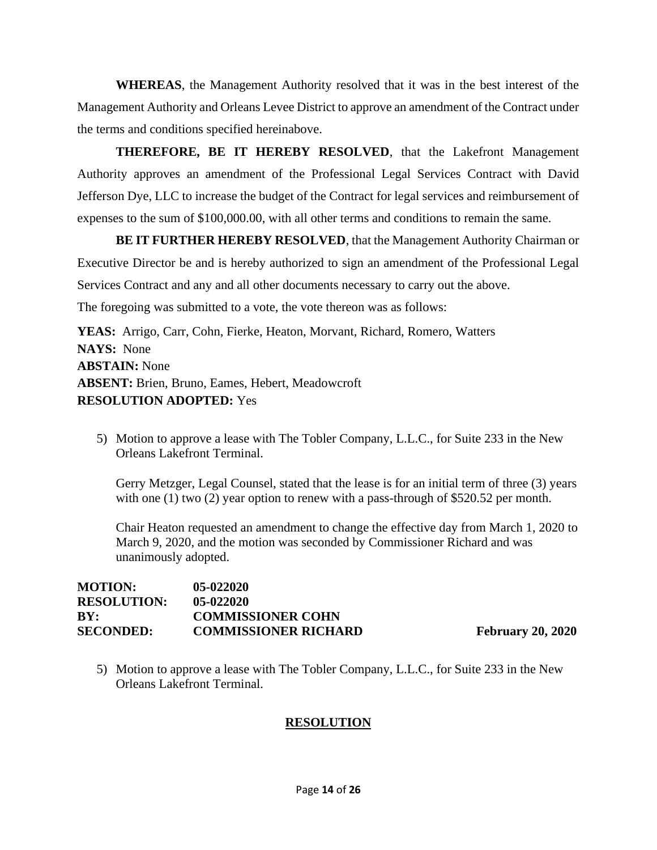**WHEREAS**, the Management Authority resolved that it was in the best interest of the Management Authority and Orleans Levee District to approve an amendment of the Contract under the terms and conditions specified hereinabove.

**THEREFORE, BE IT HEREBY RESOLVED**, that the Lakefront Management Authority approves an amendment of the Professional Legal Services Contract with David Jefferson Dye, LLC to increase the budget of the Contract for legal services and reimbursement of expenses to the sum of \$100,000.00, with all other terms and conditions to remain the same.

**BE IT FURTHER HEREBY RESOLVED**, that the Management Authority Chairman or Executive Director be and is hereby authorized to sign an amendment of the Professional Legal Services Contract and any and all other documents necessary to carry out the above.

The foregoing was submitted to a vote, the vote thereon was as follows:

**YEAS:** Arrigo, Carr, Cohn, Fierke, Heaton, Morvant, Richard, Romero, Watters **NAYS:** None **ABSTAIN:** None **ABSENT:** Brien, Bruno, Eames, Hebert, Meadowcroft **RESOLUTION ADOPTED:** Yes

5) Motion to approve a lease with The Tobler Company, L.L.C., for Suite 233 in the New Orleans Lakefront Terminal.

Gerry Metzger, Legal Counsel, stated that the lease is for an initial term of three (3) years with one (1) two (2) year option to renew with a pass-through of \$520.52 per month.

Chair Heaton requested an amendment to change the effective day from March 1, 2020 to March 9, 2020, and the motion was seconded by Commissioner Richard and was unanimously adopted.

| <b>MOTION:</b>     | $05 - 022020$               |
|--------------------|-----------------------------|
| <b>RESOLUTION:</b> | $05 - 022020$               |
| BY:                | <b>COMMISSIONER COHN</b>    |
| <b>SECONDED:</b>   | <b>COMMISSIONER RICHARD</b> |

**February 20, 2020** 

5) Motion to approve a lease with The Tobler Company, L.L.C., for Suite 233 in the New Orleans Lakefront Terminal.

## **RESOLUTION**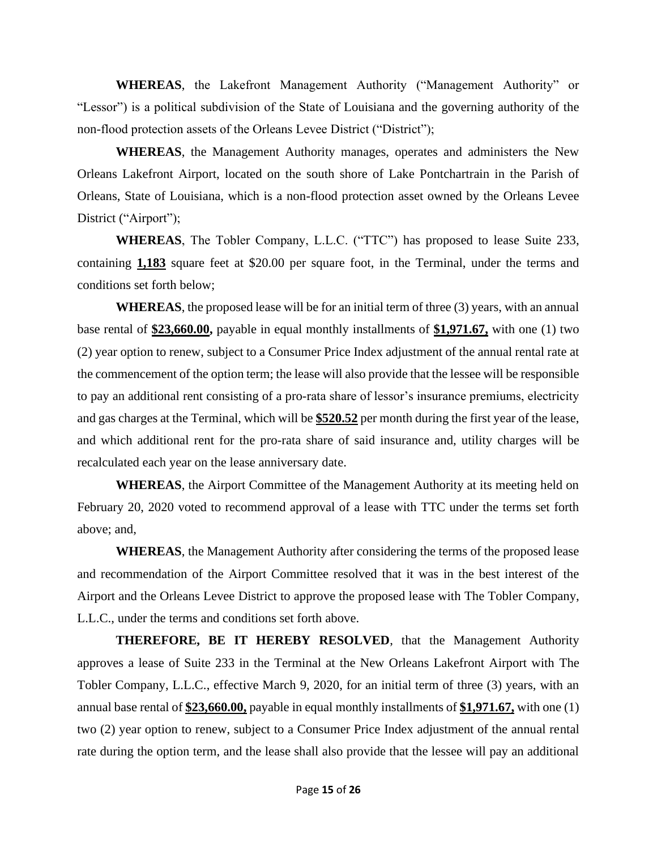**WHEREAS**, the Lakefront Management Authority ("Management Authority" or "Lessor") is a political subdivision of the State of Louisiana and the governing authority of the non-flood protection assets of the Orleans Levee District ("District");

**WHEREAS**, the Management Authority manages, operates and administers the New Orleans Lakefront Airport, located on the south shore of Lake Pontchartrain in the Parish of Orleans, State of Louisiana, which is a non-flood protection asset owned by the Orleans Levee District ("Airport");

**WHEREAS**, The Tobler Company, L.L.C. ("TTC") has proposed to lease Suite 233, containing **1,183** square feet at \$20.00 per square foot, in the Terminal, under the terms and conditions set forth below;

**WHEREAS**, the proposed lease will be for an initial term of three (3) years, with an annual base rental of **\$23,660.00,** payable in equal monthly installments of **\$1,971.67,** with one (1) two (2) year option to renew, subject to a Consumer Price Index adjustment of the annual rental rate at the commencement of the option term; the lease will also provide that the lessee will be responsible to pay an additional rent consisting of a pro-rata share of lessor's insurance premiums, electricity and gas charges at the Terminal, which will be **\$520.52** per month during the first year of the lease, and which additional rent for the pro-rata share of said insurance and, utility charges will be recalculated each year on the lease anniversary date.

**WHEREAS**, the Airport Committee of the Management Authority at its meeting held on February 20, 2020 voted to recommend approval of a lease with TTC under the terms set forth above; and,

**WHEREAS**, the Management Authority after considering the terms of the proposed lease and recommendation of the Airport Committee resolved that it was in the best interest of the Airport and the Orleans Levee District to approve the proposed lease with The Tobler Company, L.L.C., under the terms and conditions set forth above.

**THEREFORE, BE IT HEREBY RESOLVED**, that the Management Authority approves a lease of Suite 233 in the Terminal at the New Orleans Lakefront Airport with The Tobler Company, L.L.C., effective March 9, 2020, for an initial term of three (3) years, with an annual base rental of **\$23,660.00,** payable in equal monthly installments of **\$1,971.67,** with one (1) two (2) year option to renew, subject to a Consumer Price Index adjustment of the annual rental rate during the option term, and the lease shall also provide that the lessee will pay an additional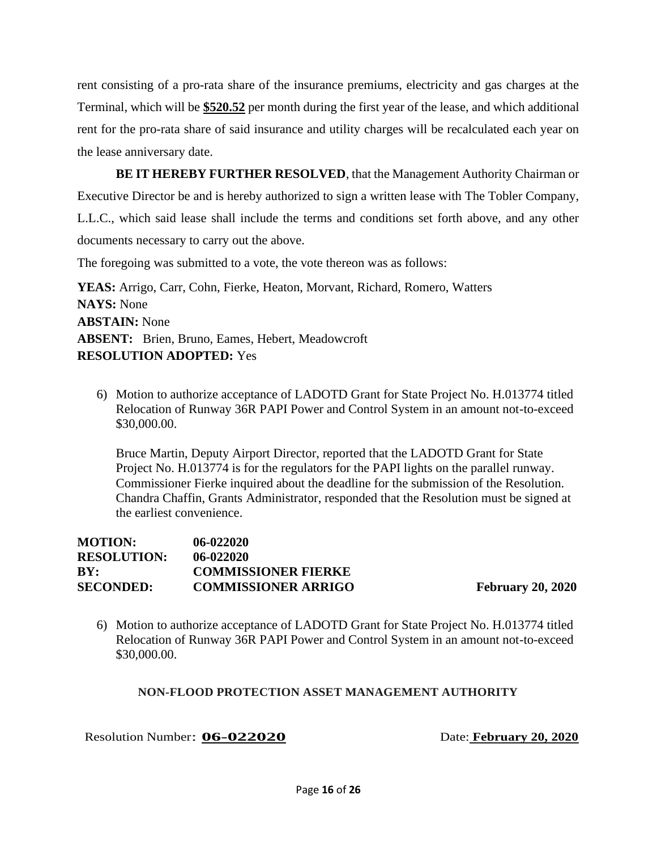rent consisting of a pro-rata share of the insurance premiums, electricity and gas charges at the Terminal, which will be **\$520.52** per month during the first year of the lease, and which additional rent for the pro-rata share of said insurance and utility charges will be recalculated each year on the lease anniversary date.

**BE IT HEREBY FURTHER RESOLVED**, that the Management Authority Chairman or Executive Director be and is hereby authorized to sign a written lease with The Tobler Company, L.L.C., which said lease shall include the terms and conditions set forth above, and any other documents necessary to carry out the above.

The foregoing was submitted to a vote, the vote thereon was as follows:

**YEAS:** Arrigo, Carr, Cohn, Fierke, Heaton, Morvant, Richard, Romero, Watters **NAYS:** None **ABSTAIN:** None **ABSENT:** Brien, Bruno, Eames, Hebert, Meadowcroft **RESOLUTION ADOPTED:** Yes

6) Motion to authorize acceptance of LADOTD Grant for State Project No. H.013774 titled Relocation of Runway 36R PAPI Power and Control System in an amount not-to-exceed \$30,000.00.

Bruce Martin, Deputy Airport Director, reported that the LADOTD Grant for State Project No. H.013774 is for the regulators for the PAPI lights on the parallel runway. Commissioner Fierke inquired about the deadline for the submission of the Resolution. Chandra Chaffin, Grants Administrator, responded that the Resolution must be signed at the earliest convenience.

| <b>MOTION:</b>     | $06 - 022020$              |
|--------------------|----------------------------|
| <b>RESOLUTION:</b> | $06 - 022020$              |
| RY:                | <b>COMMISSIONER FIERKE</b> |
| <b>SECONDED:</b>   | <b>COMMISSIONER ARRIGO</b> |

**February 20, 2020** 

6) Motion to authorize acceptance of LADOTD Grant for State Project No. H.013774 titled Relocation of Runway 36R PAPI Power and Control System in an amount not-to-exceed \$30,000.00.

#### **NON-FLOOD PROTECTION ASSET MANAGEMENT AUTHORITY**

Resolution Number: **06-022020** Date: **February 20, 2020**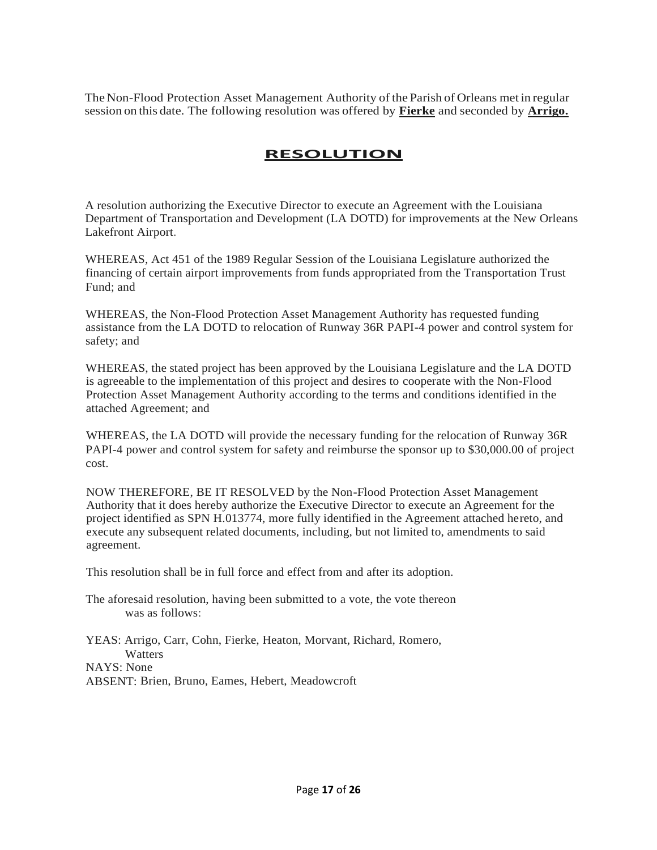The Non-Flood Protection Asset Management Authority of the Parish of Orleans met in regular session on this date. The following resolution was offered by **Fierke** and seconded by **Arrigo.**

### **RESOLUTION**

A resolution authorizing the Executive Director to execute an Agreement with the Louisiana Department of Transportation and Development (LA DOTD) for improvements at the New Orleans Lakefront Airport.

WHEREAS, Act 451 of the 1989 Regular Session of the Louisiana Legislature authorized the financing of certain airport improvements from funds appropriated from the Transportation Trust Fund; and

WHEREAS, the Non-Flood Protection Asset Management Authority has requested funding assistance from the LA DOTD to relocation of Runway 36R PAPI-4 power and control system for safety; and

WHEREAS, the stated project has been approved by the Louisiana Legislature and the LA DOTD is agreeable to the implementation of this project and desires to cooperate with the Non-Flood Protection Asset Management Authority according to the terms and conditions identified in the attached Agreement; and

WHEREAS, the LA DOTD will provide the necessary funding for the relocation of Runway 36R PAPI-4 power and control system for safety and reimburse the sponsor up to \$30,000.00 of project cost.

NOW THEREFORE, BE IT RESOLVED by the Non-Flood Protection Asset Management Authority that it does hereby authorize the Executive Director to execute an Agreement for the project identified as SPN H.013774, more fully identified in the Agreement attached hereto, and execute any subsequent related documents, including, but not limited to, amendments to said agreement.

This resolution shall be in full force and effect from and after its adoption.

The aforesaid resolution, having been submitted to a vote, the vote thereon was as follows:

YEAS: Arrigo, Carr, Cohn, Fierke, Heaton, Morvant, Richard, Romero, **Watters** NAYS: None ABSENT: Brien, Bruno, Eames, Hebert, Meadowcroft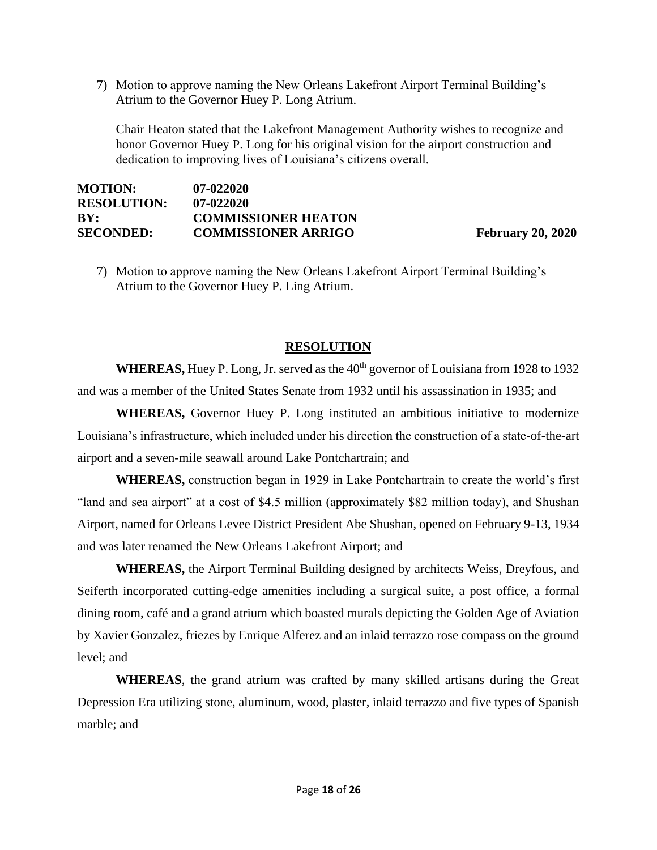7) Motion to approve naming the New Orleans Lakefront Airport Terminal Building's Atrium to the Governor Huey P. Long Atrium.

Chair Heaton stated that the Lakefront Management Authority wishes to recognize and honor Governor Huey P. Long for his original vision for the airport construction and dedication to improving lives of Louisiana's citizens overall.

| <b>MOTION:</b>     | $07 - 022020$              |
|--------------------|----------------------------|
| <b>RESOLUTION:</b> | $07 - 022020$              |
| BY:                | <b>COMMISSIONER HEATON</b> |
| <b>SECONDED:</b>   | <b>COMMISSIONER ARRIGO</b> |

**February 20, 2020** 

7) Motion to approve naming the New Orleans Lakefront Airport Terminal Building's Atrium to the Governor Huey P. Ling Atrium.

### **RESOLUTION**

**WHEREAS,** Huey P. Long, Jr. served as the 40<sup>th</sup> governor of Louisiana from 1928 to 1932 and was a member of the United States Senate from 1932 until his assassination in 1935; and

**WHEREAS,** Governor Huey P. Long instituted an ambitious initiative to modernize Louisiana's infrastructure, which included under his direction the construction of a state-of-the-art airport and a seven-mile seawall around Lake Pontchartrain; and

**WHEREAS,** construction began in 1929 in Lake Pontchartrain to create the world's first "land and sea airport" at a cost of \$4.5 million (approximately \$82 million today), and Shushan Airport, named for Orleans Levee District President Abe Shushan, opened on February 9-13, 1934 and was later renamed the New Orleans Lakefront Airport; and

**WHEREAS,** the Airport Terminal Building designed by architects Weiss, Dreyfous, and Seiferth incorporated cutting-edge amenities including a surgical suite, a post office, a formal dining room, café and a grand atrium which boasted murals depicting the Golden Age of Aviation by Xavier Gonzalez, friezes by Enrique Alferez and an inlaid terrazzo rose compass on the ground level; and

**WHEREAS**, the grand atrium was crafted by many skilled artisans during the Great Depression Era utilizing stone, aluminum, wood, plaster, inlaid terrazzo and five types of Spanish marble; and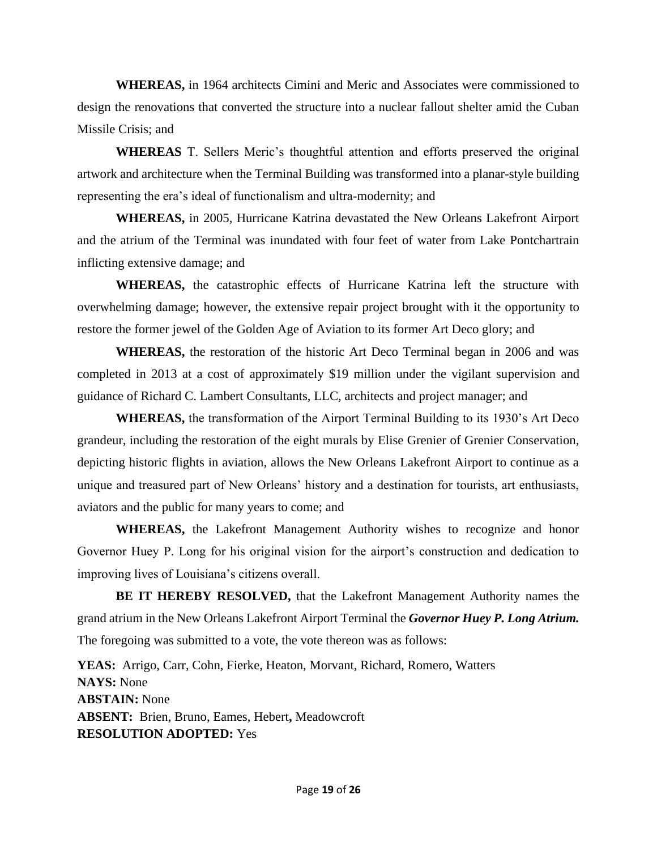**WHEREAS,** in 1964 architects Cimini and Meric and Associates were commissioned to design the renovations that converted the structure into a nuclear fallout shelter amid the Cuban Missile Crisis; and

**WHEREAS** T. Sellers Meric's thoughtful attention and efforts preserved the original artwork and architecture when the Terminal Building was transformed into a planar-style building representing the era's ideal of functionalism and ultra-modernity; and

**WHEREAS,** in 2005, Hurricane Katrina devastated the New Orleans Lakefront Airport and the atrium of the Terminal was inundated with four feet of water from Lake Pontchartrain inflicting extensive damage; and

**WHEREAS,** the catastrophic effects of Hurricane Katrina left the structure with overwhelming damage; however, the extensive repair project brought with it the opportunity to restore the former jewel of the Golden Age of Aviation to its former Art Deco glory; and

**WHEREAS,** the restoration of the historic Art Deco Terminal began in 2006 and was completed in 2013 at a cost of approximately \$19 million under the vigilant supervision and guidance of Richard C. Lambert Consultants, LLC, architects and project manager; and

**WHEREAS,** the transformation of the Airport Terminal Building to its 1930's Art Deco grandeur, including the restoration of the eight murals by Elise Grenier of Grenier Conservation, depicting historic flights in aviation, allows the New Orleans Lakefront Airport to continue as a unique and treasured part of New Orleans' history and a destination for tourists, art enthusiasts, aviators and the public for many years to come; and

**WHEREAS,** the Lakefront Management Authority wishes to recognize and honor Governor Huey P. Long for his original vision for the airport's construction and dedication to improving lives of Louisiana's citizens overall.

**BE IT HEREBY RESOLVED,** that the Lakefront Management Authority names the grand atrium in the New Orleans Lakefront Airport Terminal the *Governor Huey P. Long Atrium.*  The foregoing was submitted to a vote, the vote thereon was as follows:

**YEAS:** Arrigo, Carr, Cohn, Fierke, Heaton, Morvant, Richard, Romero, Watters **NAYS:** None **ABSTAIN:** None **ABSENT:** Brien, Bruno, Eames, Hebert**,** Meadowcroft **RESOLUTION ADOPTED:** Yes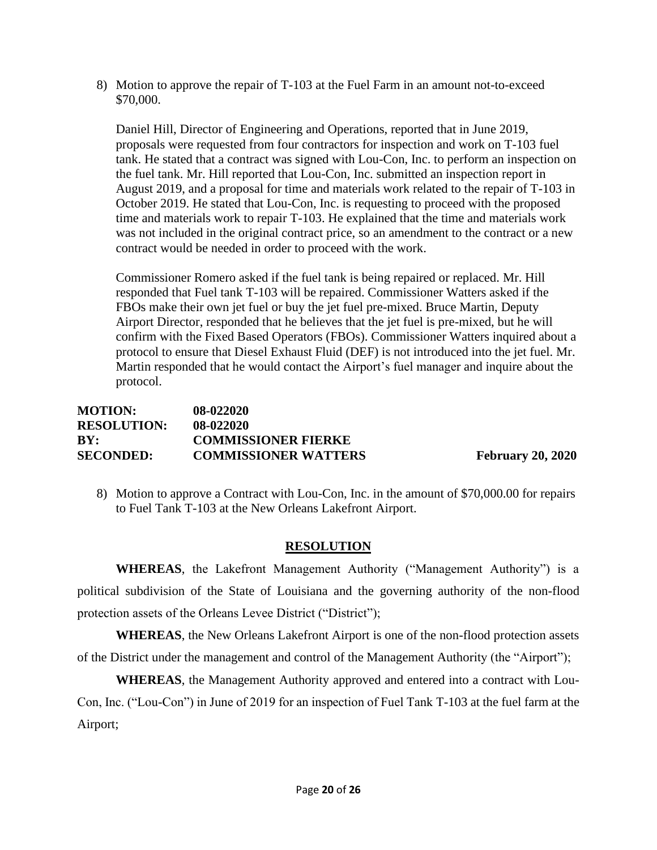8) Motion to approve the repair of T-103 at the Fuel Farm in an amount not-to-exceed \$70,000.

Daniel Hill, Director of Engineering and Operations, reported that in June 2019, proposals were requested from four contractors for inspection and work on T-103 fuel tank. He stated that a contract was signed with Lou-Con, Inc. to perform an inspection on the fuel tank. Mr. Hill reported that Lou-Con, Inc. submitted an inspection report in August 2019, and a proposal for time and materials work related to the repair of T-103 in October 2019. He stated that Lou-Con, Inc. is requesting to proceed with the proposed time and materials work to repair T-103. He explained that the time and materials work was not included in the original contract price, so an amendment to the contract or a new contract would be needed in order to proceed with the work.

Commissioner Romero asked if the fuel tank is being repaired or replaced. Mr. Hill responded that Fuel tank T-103 will be repaired. Commissioner Watters asked if the FBOs make their own jet fuel or buy the jet fuel pre-mixed. Bruce Martin, Deputy Airport Director, responded that he believes that the jet fuel is pre-mixed, but he will confirm with the Fixed Based Operators (FBOs). Commissioner Watters inquired about a protocol to ensure that Diesel Exhaust Fluid (DEF) is not introduced into the jet fuel. Mr. Martin responded that he would contact the Airport's fuel manager and inquire about the protocol.

#### **MOTION: 08-022020 RESOLUTION: 08-022020 BY: COMMISSIONER FIERKE SECONDED: COMMISSIONER WATTERS February 20, 2020**

8) Motion to approve a Contract with Lou-Con, Inc. in the amount of \$70,000.00 for repairs to Fuel Tank T-103 at the New Orleans Lakefront Airport.

### **RESOLUTION**

**WHEREAS**, the Lakefront Management Authority ("Management Authority") is a political subdivision of the State of Louisiana and the governing authority of the non-flood protection assets of the Orleans Levee District ("District");

**WHEREAS**, the New Orleans Lakefront Airport is one of the non-flood protection assets of the District under the management and control of the Management Authority (the "Airport");

**WHEREAS**, the Management Authority approved and entered into a contract with Lou-Con, Inc. ("Lou-Con") in June of 2019 for an inspection of Fuel Tank T-103 at the fuel farm at the Airport;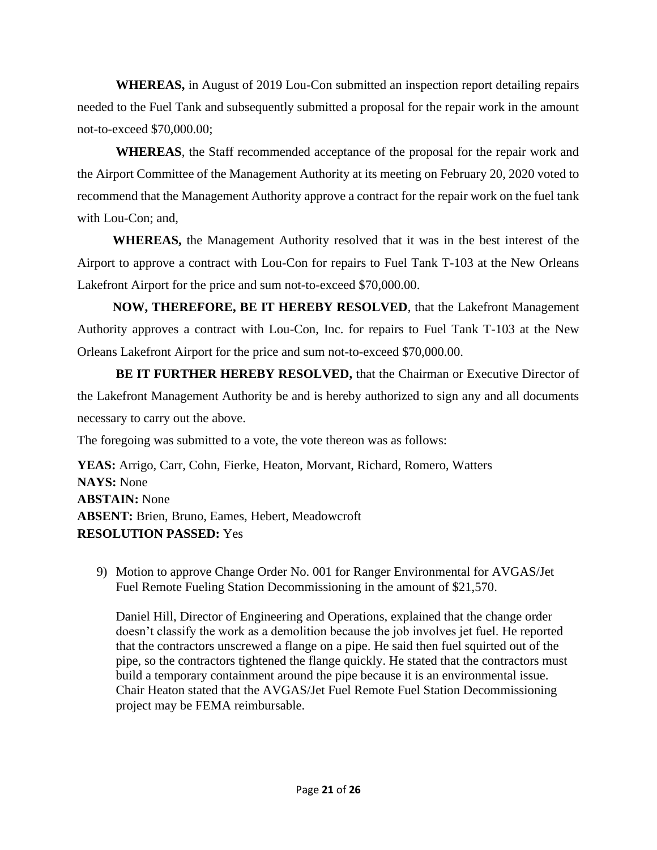**WHEREAS,** in August of 2019 Lou-Con submitted an inspection report detailing repairs needed to the Fuel Tank and subsequently submitted a proposal for the repair work in the amount not-to-exceed \$70,000.00;

**WHEREAS**, the Staff recommended acceptance of the proposal for the repair work and the Airport Committee of the Management Authority at its meeting on February 20, 2020 voted to recommend that the Management Authority approve a contract for the repair work on the fuel tank with Lou-Con; and,

 **WHEREAS,** the Management Authority resolved that it was in the best interest of the Airport to approve a contract with Lou-Con for repairs to Fuel Tank T-103 at the New Orleans Lakefront Airport for the price and sum not-to-exceed \$70,000.00.

 **NOW, THEREFORE, BE IT HEREBY RESOLVED**, that the Lakefront Management Authority approves a contract with Lou-Con, Inc. for repairs to Fuel Tank T-103 at the New Orleans Lakefront Airport for the price and sum not-to-exceed \$70,000.00.

**BE IT FURTHER HEREBY RESOLVED,** that the Chairman or Executive Director of the Lakefront Management Authority be and is hereby authorized to sign any and all documents necessary to carry out the above.

The foregoing was submitted to a vote, the vote thereon was as follows:

**YEAS:** Arrigo, Carr, Cohn, Fierke, Heaton, Morvant, Richard, Romero, Watters **NAYS:** None **ABSTAIN:** None **ABSENT:** Brien, Bruno, Eames, Hebert, Meadowcroft **RESOLUTION PASSED:** Yes

9) Motion to approve Change Order No. 001 for Ranger Environmental for AVGAS/Jet Fuel Remote Fueling Station Decommissioning in the amount of \$21,570.

Daniel Hill, Director of Engineering and Operations, explained that the change order doesn't classify the work as a demolition because the job involves jet fuel. He reported that the contractors unscrewed a flange on a pipe. He said then fuel squirted out of the pipe, so the contractors tightened the flange quickly. He stated that the contractors must build a temporary containment around the pipe because it is an environmental issue. Chair Heaton stated that the AVGAS/Jet Fuel Remote Fuel Station Decommissioning project may be FEMA reimbursable.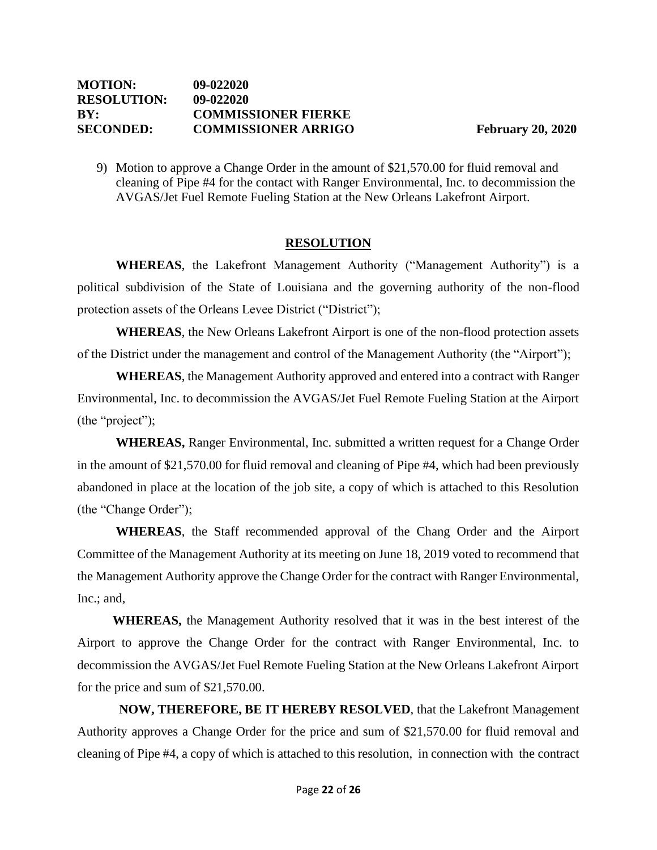9) Motion to approve a Change Order in the amount of \$21,570.00 for fluid removal and cleaning of Pipe #4 for the contact with Ranger Environmental, Inc. to decommission the AVGAS/Jet Fuel Remote Fueling Station at the New Orleans Lakefront Airport.

### **RESOLUTION**

**WHEREAS**, the Lakefront Management Authority ("Management Authority") is a political subdivision of the State of Louisiana and the governing authority of the non-flood protection assets of the Orleans Levee District ("District");

**WHEREAS**, the New Orleans Lakefront Airport is one of the non-flood protection assets of the District under the management and control of the Management Authority (the "Airport");

**WHEREAS**, the Management Authority approved and entered into a contract with Ranger Environmental, Inc. to decommission the AVGAS/Jet Fuel Remote Fueling Station at the Airport (the "project");

**WHEREAS,** Ranger Environmental, Inc. submitted a written request for a Change Order in the amount of \$21,570.00 for fluid removal and cleaning of Pipe #4, which had been previously abandoned in place at the location of the job site, a copy of which is attached to this Resolution (the "Change Order");

**WHEREAS**, the Staff recommended approval of the Chang Order and the Airport Committee of the Management Authority at its meeting on June 18, 2019 voted to recommend that the Management Authority approve the Change Order for the contract with Ranger Environmental, Inc.; and,

 **WHEREAS,** the Management Authority resolved that it was in the best interest of the Airport to approve the Change Order for the contract with Ranger Environmental, Inc. to decommission the AVGAS/Jet Fuel Remote Fueling Station at the New Orleans Lakefront Airport for the price and sum of \$21,570.00.

**NOW, THEREFORE, BE IT HEREBY RESOLVED**, that the Lakefront Management Authority approves a Change Order for the price and sum of \$21,570.00 for fluid removal and cleaning of Pipe #4, a copy of which is attached to this resolution, in connection with the contract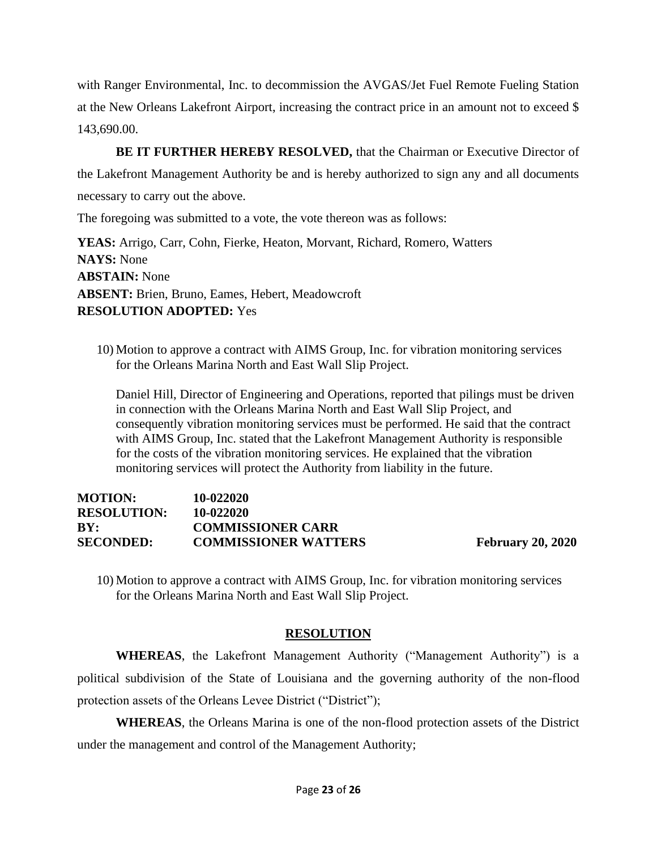with Ranger Environmental, Inc. to decommission the AVGAS/Jet Fuel Remote Fueling Station at the New Orleans Lakefront Airport, increasing the contract price in an amount not to exceed \$ 143,690.00.

**BE IT FURTHER HEREBY RESOLVED,** that the Chairman or Executive Director of the Lakefront Management Authority be and is hereby authorized to sign any and all documents necessary to carry out the above.

The foregoing was submitted to a vote, the vote thereon was as follows:

**YEAS:** Arrigo, Carr, Cohn, Fierke, Heaton, Morvant, Richard, Romero, Watters **NAYS:** None **ABSTAIN:** None **ABSENT:** Brien, Bruno, Eames, Hebert, Meadowcroft **RESOLUTION ADOPTED:** Yes

10) Motion to approve a contract with AIMS Group, Inc. for vibration monitoring services for the Orleans Marina North and East Wall Slip Project.

Daniel Hill, Director of Engineering and Operations, reported that pilings must be driven in connection with the Orleans Marina North and East Wall Slip Project, and consequently vibration monitoring services must be performed. He said that the contract with AIMS Group, Inc. stated that the Lakefront Management Authority is responsible for the costs of the vibration monitoring services. He explained that the vibration monitoring services will protect the Authority from liability in the future.

### **MOTION: 10-022020 RESOLUTION: 10-022020 BY: COMMISSIONER CARR SECONDED: COMMISSIONER WATTERS February 20, 2020**

10) Motion to approve a contract with AIMS Group, Inc. for vibration monitoring services for the Orleans Marina North and East Wall Slip Project.

### **RESOLUTION**

**WHEREAS**, the Lakefront Management Authority ("Management Authority") is a political subdivision of the State of Louisiana and the governing authority of the non-flood protection assets of the Orleans Levee District ("District");

**WHEREAS**, the Orleans Marina is one of the non-flood protection assets of the District under the management and control of the Management Authority;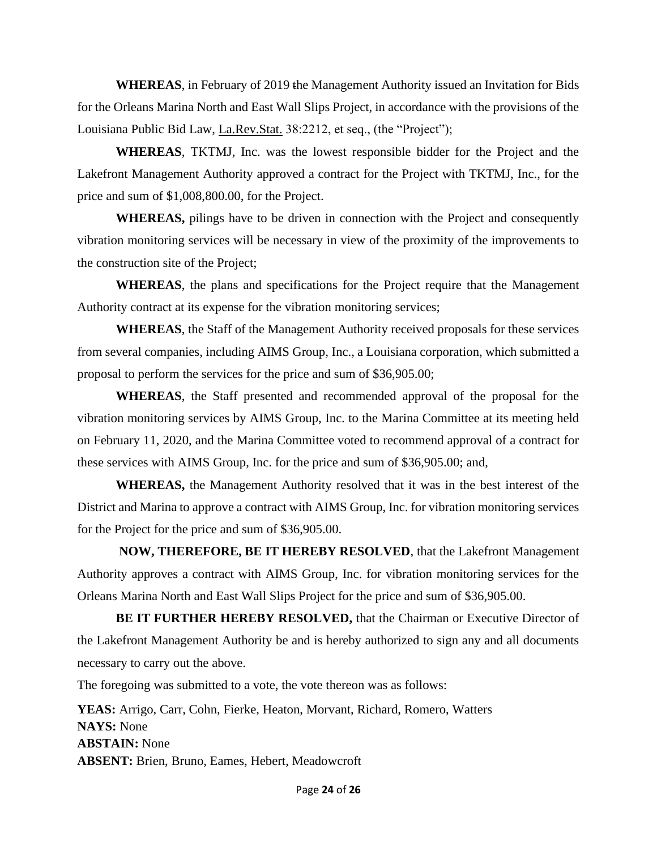**WHEREAS**, in February of 2019 the Management Authority issued an Invitation for Bids for the Orleans Marina North and East Wall Slips Project, in accordance with the provisions of the Louisiana Public Bid Law, La.Rev.Stat. 38:2212, et seq., (the "Project");

**WHEREAS**, TKTMJ, Inc. was the lowest responsible bidder for the Project and the Lakefront Management Authority approved a contract for the Project with TKTMJ, Inc., for the price and sum of \$1,008,800.00, for the Project.

**WHEREAS,** pilings have to be driven in connection with the Project and consequently vibration monitoring services will be necessary in view of the proximity of the improvements to the construction site of the Project;

**WHEREAS**, the plans and specifications for the Project require that the Management Authority contract at its expense for the vibration monitoring services;

**WHEREAS**, the Staff of the Management Authority received proposals for these services from several companies, including AIMS Group, Inc., a Louisiana corporation, which submitted a proposal to perform the services for the price and sum of \$36,905.00;

**WHEREAS**, the Staff presented and recommended approval of the proposal for the vibration monitoring services by AIMS Group, Inc. to the Marina Committee at its meeting held on February 11, 2020, and the Marina Committee voted to recommend approval of a contract for these services with AIMS Group, Inc. for the price and sum of \$36,905.00; and,

**WHEREAS,** the Management Authority resolved that it was in the best interest of the District and Marina to approve a contract with AIMS Group, Inc. for vibration monitoring services for the Project for the price and sum of \$36,905.00.

**NOW, THEREFORE, BE IT HEREBY RESOLVED**, that the Lakefront Management Authority approves a contract with AIMS Group, Inc. for vibration monitoring services for the Orleans Marina North and East Wall Slips Project for the price and sum of \$36,905.00.

**BE IT FURTHER HEREBY RESOLVED,** that the Chairman or Executive Director of the Lakefront Management Authority be and is hereby authorized to sign any and all documents necessary to carry out the above.

The foregoing was submitted to a vote, the vote thereon was as follows:

**YEAS:** Arrigo, Carr, Cohn, Fierke, Heaton, Morvant, Richard, Romero, Watters **NAYS:** None **ABSTAIN:** None **ABSENT:** Brien, Bruno, Eames, Hebert, Meadowcroft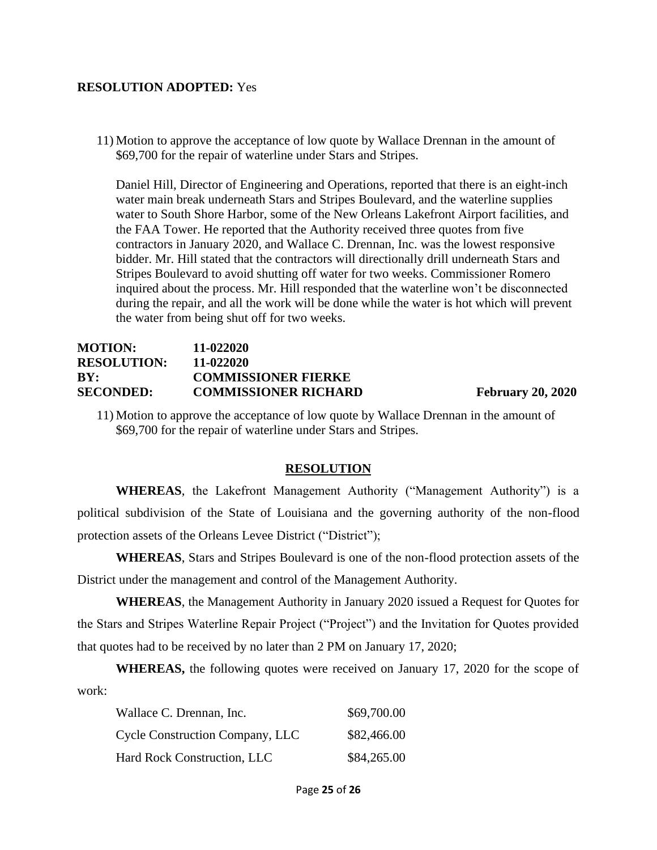#### **RESOLUTION ADOPTED:** Yes

11) Motion to approve the acceptance of low quote by Wallace Drennan in the amount of \$69,700 for the repair of waterline under Stars and Stripes.

Daniel Hill, Director of Engineering and Operations, reported that there is an eight-inch water main break underneath Stars and Stripes Boulevard, and the waterline supplies water to South Shore Harbor, some of the New Orleans Lakefront Airport facilities, and the FAA Tower. He reported that the Authority received three quotes from five contractors in January 2020, and Wallace C. Drennan, Inc. was the lowest responsive bidder. Mr. Hill stated that the contractors will directionally drill underneath Stars and Stripes Boulevard to avoid shutting off water for two weeks. Commissioner Romero inquired about the process. Mr. Hill responded that the waterline won't be disconnected during the repair, and all the work will be done while the water is hot which will prevent the water from being shut off for two weeks.

### **MOTION: 11-022020 RESOLUTION: 11-022020 BY: COMMISSIONER FIERKE SECONDED: COMMISSIONER RICHARD February 20, 2020**

11) Motion to approve the acceptance of low quote by Wallace Drennan in the amount of \$69,700 for the repair of waterline under Stars and Stripes.

#### **RESOLUTION**

**WHEREAS**, the Lakefront Management Authority ("Management Authority") is a political subdivision of the State of Louisiana and the governing authority of the non-flood protection assets of the Orleans Levee District ("District");

**WHEREAS**, Stars and Stripes Boulevard is one of the non-flood protection assets of the District under the management and control of the Management Authority.

**WHEREAS**, the Management Authority in January 2020 issued a Request for Quotes for the Stars and Stripes Waterline Repair Project ("Project") and the Invitation for Quotes provided that quotes had to be received by no later than 2 PM on January 17, 2020;

**WHEREAS,** the following quotes were received on January 17, 2020 for the scope of work:

| Wallace C. Drennan, Inc.               | \$69,700.00 |
|----------------------------------------|-------------|
| <b>Cycle Construction Company, LLC</b> | \$82,466.00 |
| Hard Rock Construction, LLC            | \$84,265.00 |